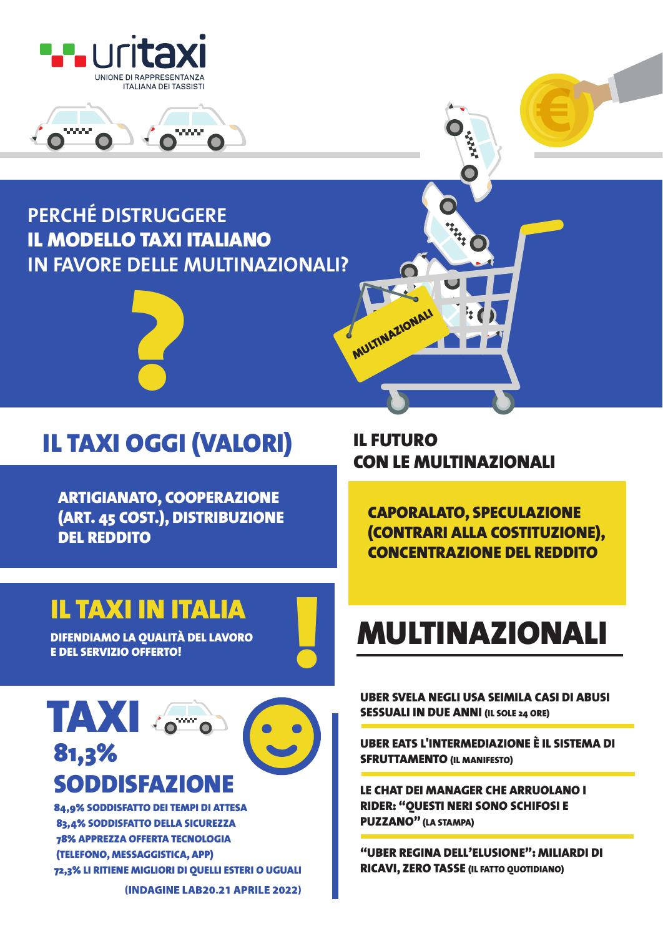



#### PFRCHÉ DISTRUGGERE **IL MODELLO TAXI ITALIANO IN FAVORE DELLE MULTINAZIONALI?**



## **IL TAXI OGGI (VALORI)**

**ARTIGIANATO, COOPERAZIONE** (ART. 45 COST.), DISTRIBUZIONE **DEI REDDITO** 

### **IL TAXI IN ITALIA**

**DIFENDIAMO LA QUALITÀ DEL LAVORO E DEL SERVIZIO OFFERTO!** 

# TAXI 81.3% **SODDISFAZIONE**

84.9% SODDISFATTO DEI TEMPI DI ATTESA 83.4% SODDISFATTO DELLA SICUREZZA **78% APPREZZA OFFERTA TECNOLOGIA** (TELEFONO, MESSAGGISTICA, APP) 72,3% LI RITIENE MIGLIORI DI QUELLI ESTERI O UGUALI (INDAGINE LAB20.21 APRILE 2022) **IL FUTURO CON LE MULTINAZIONALI** 

MULTINAZIONALI

**CAPORALATO, SPECULAZIONE** (CONTRARI ALLA COSTITUZIONE). **CONCENTRAZIONE DEL REDDITO** 

# **MULTINAZIONALI**

UBER SVELA NEGLI USA SEIMILA CASI DI ABUSI **SESSUALI IN DUE ANNI (IL SOLE 24 ORE)** 

UBER EATS L'INTERMEDIAZIONE È IL SISTEMA DI **SFRUTTAMENTO (IL MANIFESTO)** 

LE CHAT DEI MANAGER CHE ARRUOLANO I **RIDER: "OUESTI NERI SONO SCHIFOSI E PUZZANO"** (LA STAMPA)

"URER REGINA DELL'ELUSIONE": MILIARDI DI **RICAVI, ZERO TASSE (IL FATTO QUOTIDIANO)**